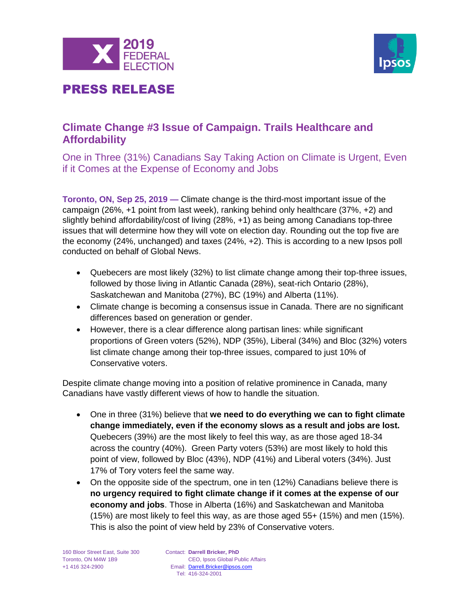



### **Climate Change #3 Issue of Campaign. Trails Healthcare and Affordability**

One in Three (31%) Canadians Say Taking Action on Climate is Urgent, Even if it Comes at the Expense of Economy and Jobs

**Toronto, ON, Sep 25, 2019 —** Climate change is the third-most important issue of the campaign (26%, +1 point from last week), ranking behind only healthcare (37%, +2) and slightly behind affordability/cost of living (28%, +1) as being among Canadians top-three issues that will determine how they will vote on election day. Rounding out the top five are the economy (24%, unchanged) and taxes (24%, +2). This is according to a new Ipsos poll conducted on behalf of Global News.

- Quebecers are most likely (32%) to list climate change among their top-three issues, followed by those living in Atlantic Canada (28%), seat-rich Ontario (28%), Saskatchewan and Manitoba (27%), BC (19%) and Alberta (11%).
- Climate change is becoming a consensus issue in Canada. There are no significant differences based on generation or gender.
- However, there is a clear difference along partisan lines: while significant proportions of Green voters (52%), NDP (35%), Liberal (34%) and Bloc (32%) voters list climate change among their top-three issues, compared to just 10% of Conservative voters.

Despite climate change moving into a position of relative prominence in Canada, many Canadians have vastly different views of how to handle the situation.

- One in three (31%) believe that **we need to do everything we can to fight climate change immediately, even if the economy slows as a result and jobs are lost.**  Quebecers (39%) are the most likely to feel this way, as are those aged 18-34 across the country (40%). Green Party voters (53%) are most likely to hold this point of view, followed by Bloc (43%), NDP (41%) and Liberal voters (34%). Just 17% of Tory voters feel the same way.
- On the opposite side of the spectrum, one in ten (12%) Canadians believe there is **no urgency required to fight climate change if it comes at the expense of our economy and jobs**. Those in Alberta (16%) and Saskatchewan and Manitoba (15%) are most likely to feel this way, as are those aged 55+ (15%) and men (15%). This is also the point of view held by 23% of Conservative voters.

160 Bloor Street East, Suite 300 Toronto, ON M4W 1B9 +1 416 324-2900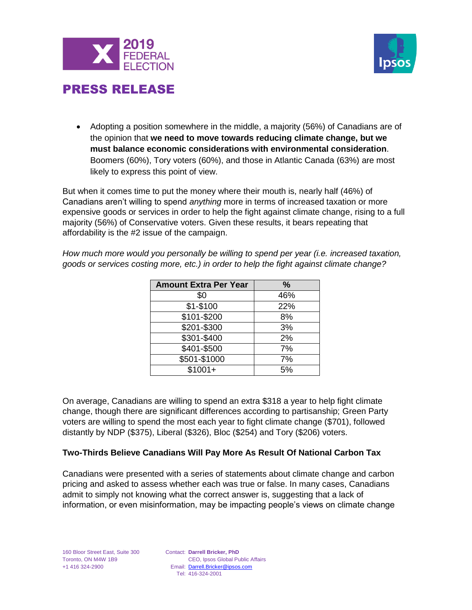



• Adopting a position somewhere in the middle, a majority (56%) of Canadians are of the opinion that **we need to move towards reducing climate change, but we must balance economic considerations with environmental consideration**. Boomers (60%), Tory voters (60%), and those in Atlantic Canada (63%) are most likely to express this point of view.

But when it comes time to put the money where their mouth is, nearly half (46%) of Canadians aren't willing to spend *anything* more in terms of increased taxation or more expensive goods or services in order to help the fight against climate change, rising to a full majority (56%) of Conservative voters. Given these results, it bears repeating that affordability is the #2 issue of the campaign.

*How much more would you personally be willing to spend per year (i.e. increased taxation, goods or services costing more, etc.) in order to help the fight against climate change?*

| <b>Amount Extra Per Year</b> | $\%$ |  |  |
|------------------------------|------|--|--|
| \$0                          | 46%  |  |  |
| \$1-\$100                    | 22%  |  |  |
| \$101-\$200                  | 8%   |  |  |
| \$201-\$300                  | 3%   |  |  |
| \$301-\$400                  | 2%   |  |  |
| \$401-\$500                  | 7%   |  |  |
| \$501-\$1000                 | 7%   |  |  |
| $$1001+$                     | 5%   |  |  |

On average, Canadians are willing to spend an extra \$318 a year to help fight climate change, though there are significant differences according to partisanship; Green Party voters are willing to spend the most each year to fight climate change (\$701), followed distantly by NDP (\$375), Liberal (\$326), Bloc (\$254) and Tory (\$206) voters.

#### **Two-Thirds Believe Canadians Will Pay More As Result Of National Carbon Tax**

Canadians were presented with a series of statements about climate change and carbon pricing and asked to assess whether each was true or false. In many cases, Canadians admit to simply not knowing what the correct answer is, suggesting that a lack of information, or even misinformation, may be impacting people's views on climate change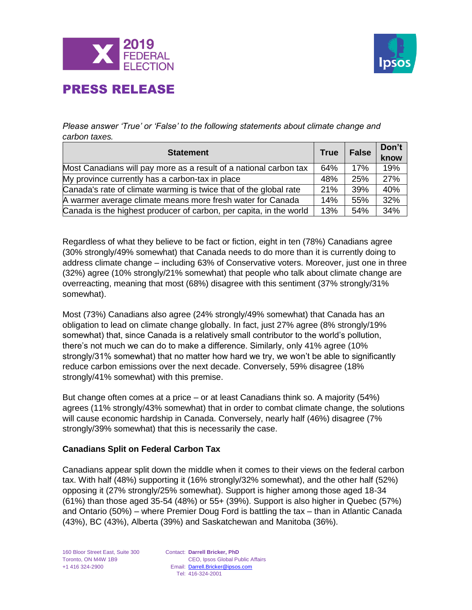



*Please answer 'True' or 'False' to the following statements about climate change and carbon taxes.*

| <b>Statement</b>                                                   |     | <b>False</b> | Don't<br>know |
|--------------------------------------------------------------------|-----|--------------|---------------|
| Most Canadians will pay more as a result of a national carbon tax  | 64% | 17%          | 19%           |
| My province currently has a carbon-tax in place                    |     | 25%          | 27%           |
| Canada's rate of climate warming is twice that of the global rate  |     | 39%          | 40%           |
| A warmer average climate means more fresh water for Canada         |     | 55%          | 32%           |
| Canada is the highest producer of carbon, per capita, in the world | 13% | 54%          | 34%           |

Regardless of what they believe to be fact or fiction, eight in ten (78%) Canadians agree (30% strongly/49% somewhat) that Canada needs to do more than it is currently doing to address climate change – including 63% of Conservative voters. Moreover, just one in three (32%) agree (10% strongly/21% somewhat) that people who talk about climate change are overreacting, meaning that most (68%) disagree with this sentiment (37% strongly/31% somewhat).

Most (73%) Canadians also agree (24% strongly/49% somewhat) that Canada has an obligation to lead on climate change globally. In fact, just 27% agree (8% strongly/19% somewhat) that, since Canada is a relatively small contributor to the world's pollution, there's not much we can do to make a difference. Similarly, only 41% agree (10% strongly/31% somewhat) that no matter how hard we try, we won't be able to significantly reduce carbon emissions over the next decade. Conversely, 59% disagree (18% strongly/41% somewhat) with this premise.

But change often comes at a price – or at least Canadians think so. A majority (54%) agrees (11% strongly/43% somewhat) that in order to combat climate change, the solutions will cause economic hardship in Canada. Conversely, nearly half (46%) disagree (7% strongly/39% somewhat) that this is necessarily the case.

#### **Canadians Split on Federal Carbon Tax**

Canadians appear split down the middle when it comes to their views on the federal carbon tax. With half (48%) supporting it (16% strongly/32% somewhat), and the other half (52%) opposing it (27% strongly/25% somewhat). Support is higher among those aged 18-34 (61%) than those aged 35-54 (48%) or 55+ (39%). Support is also higher in Quebec (57%) and Ontario (50%) – where Premier Doug Ford is battling the tax – than in Atlantic Canada (43%), BC (43%), Alberta (39%) and Saskatchewan and Manitoba (36%).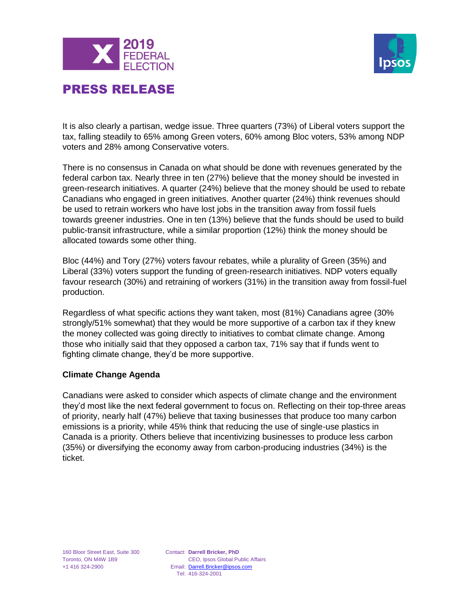



It is also clearly a partisan, wedge issue. Three quarters (73%) of Liberal voters support the tax, falling steadily to 65% among Green voters, 60% among Bloc voters, 53% among NDP voters and 28% among Conservative voters.

There is no consensus in Canada on what should be done with revenues generated by the federal carbon tax. Nearly three in ten (27%) believe that the money should be invested in green-research initiatives. A quarter (24%) believe that the money should be used to rebate Canadians who engaged in green initiatives. Another quarter (24%) think revenues should be used to retrain workers who have lost jobs in the transition away from fossil fuels towards greener industries. One in ten (13%) believe that the funds should be used to build public-transit infrastructure, while a similar proportion (12%) think the money should be allocated towards some other thing.

Bloc (44%) and Tory (27%) voters favour rebates, while a plurality of Green (35%) and Liberal (33%) voters support the funding of green-research initiatives. NDP voters equally favour research (30%) and retraining of workers (31%) in the transition away from fossil-fuel production.

Regardless of what specific actions they want taken, most (81%) Canadians agree (30% strongly/51% somewhat) that they would be more supportive of a carbon tax if they knew the money collected was going directly to initiatives to combat climate change. Among those who initially said that they opposed a carbon tax, 71% say that if funds went to fighting climate change, they'd be more supportive.

#### **Climate Change Agenda**

Canadians were asked to consider which aspects of climate change and the environment they'd most like the next federal government to focus on. Reflecting on their top-three areas of priority, nearly half (47%) believe that taxing businesses that produce too many carbon emissions is a priority, while 45% think that reducing the use of single-use plastics in Canada is a priority. Others believe that incentivizing businesses to produce less carbon (35%) or diversifying the economy away from carbon-producing industries (34%) is the ticket.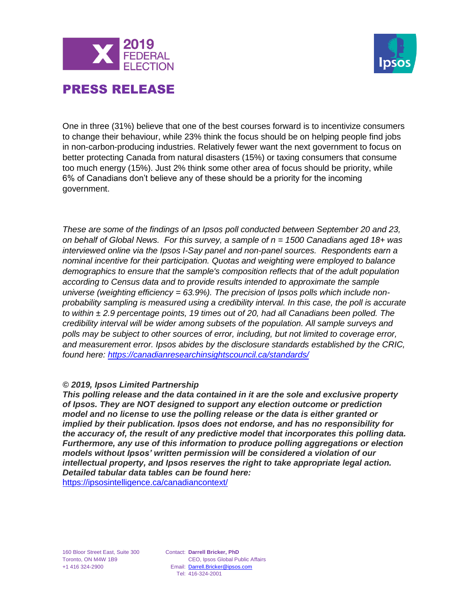



One in three (31%) believe that one of the best courses forward is to incentivize consumers to change their behaviour, while 23% think the focus should be on helping people find jobs in non-carbon-producing industries. Relatively fewer want the next government to focus on better protecting Canada from natural disasters (15%) or taxing consumers that consume too much energy (15%). Just 2% think some other area of focus should be priority, while 6% of Canadians don't believe any of these should be a priority for the incoming government.

*These are some of the findings of an Ipsos poll conducted between September 20 and 23, on behalf of Global News. For this survey, a sample of n = 1500 Canadians aged 18+ was interviewed online via the Ipsos I-Say panel and non-panel sources. Respondents earn a nominal incentive for their participation. Quotas and weighting were employed to balance demographics to ensure that the sample's composition reflects that of the adult population according to Census data and to provide results intended to approximate the sample universe (weighting efficiency = 63.9%). The precision of Ipsos polls which include nonprobability sampling is measured using a credibility interval. In this case, the poll is accurate to within ± 2.9 percentage points, 19 times out of 20, had all Canadians been polled. The credibility interval will be wider among subsets of the population. All sample surveys and polls may be subject to other sources of error, including, but not limited to coverage error, and measurement error. Ipsos abides by the disclosure standards established by the CRIC, found here:<https://canadianresearchinsightscouncil.ca/standards/>*

#### *© 2019, Ipsos Limited Partnership*

*This polling release and the data contained in it are the sole and exclusive property of Ipsos. They are NOT designed to support any election outcome or prediction model and no license to use the polling release or the data is either granted or implied by their publication. Ipsos does not endorse, and has no responsibility for the accuracy of, the result of any predictive model that incorporates this polling data. Furthermore, any use of this information to produce polling aggregations or election models without Ipsos' written permission will be considered a violation of our intellectual property, and Ipsos reserves the right to take appropriate legal action. Detailed tabular data tables can be found here:* <https://ipsosintelligence.ca/canadiancontext/>